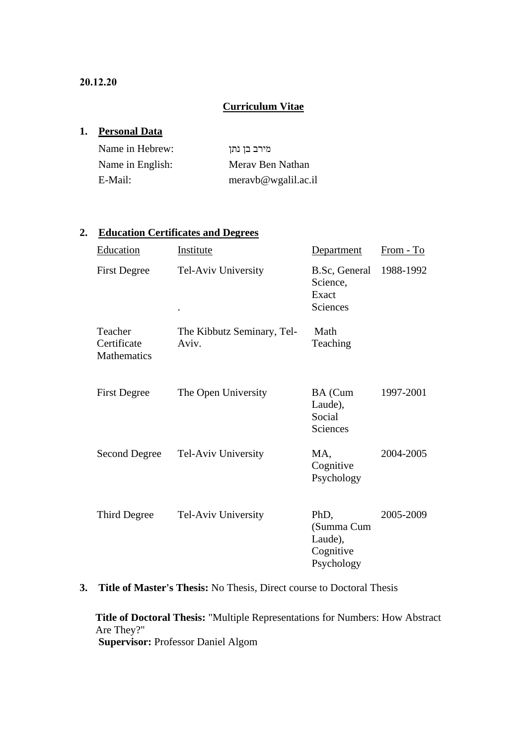# **Curriculum Vitae**

### **1. Personal Data**

| Name in Hebrew:  | מירב בן נתן        |
|------------------|--------------------|
| Name in English: | Meray Ben Nathan   |
| E-Mail:          | meravb@wgalil.ac.i |

# **2. Education Certificates and Degrees**

| Education                             | Institute                           | Department                                               | From - To |
|---------------------------------------|-------------------------------------|----------------------------------------------------------|-----------|
| <b>First Degree</b>                   | Tel-Aviv University                 | B.Sc, General<br>Science,<br>Exact<br>Sciences           | 1988-1992 |
| Teacher<br>Certificate<br>Mathematics | The Kibbutz Seminary, Tel-<br>Aviv. | Math<br>Teaching                                         |           |
| <b>First Degree</b>                   | The Open University                 | BA (Cum<br>Laude),<br>Social<br>Sciences                 | 1997-2001 |
| <b>Second Degree</b>                  | Tel-Aviv University                 | MA,<br>Cognitive<br>Psychology                           | 2004-2005 |
| Third Degree                          | Tel-Aviv University                 | PhD,<br>(Summa Cum<br>Laude),<br>Cognitive<br>Psychology | 2005-2009 |

**3. Title of Master's Thesis:** No Thesis, Direct course to Doctoral Thesis

**Title of Doctoral Thesis:** "Multiple Representations for Numbers: How Abstract Are They?" **Supervisor:** Professor Daniel Algom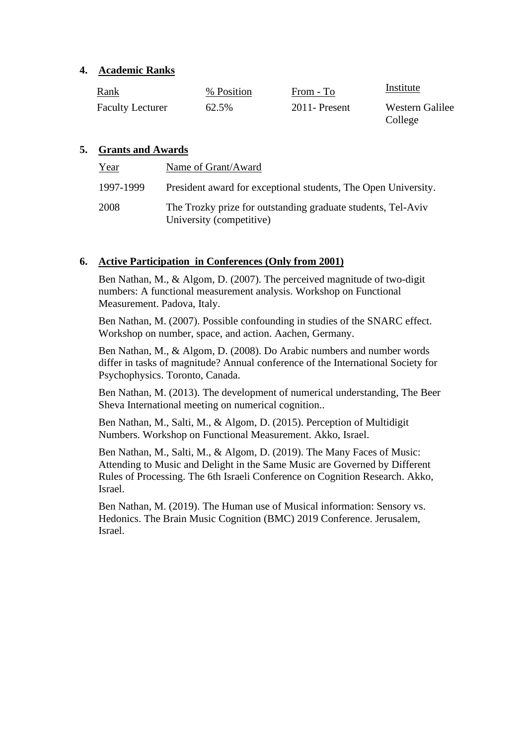### **4. Academic Ranks**

| <b>Rank</b>             | % Position | From - To       | Institute                  |
|-------------------------|------------|-----------------|----------------------------|
| <b>Faculty Lecturer</b> | 62.5%      | $2011$ -Present | Western Galilee<br>College |

# **5. Grants and Awards**

| Year      | Name of Grant/Award                                                                      |
|-----------|------------------------------------------------------------------------------------------|
| 1997-1999 | President award for exceptional students, The Open University.                           |
| 2008      | The Trozky prize for outstanding graduate students, Tel-Aviv<br>University (competitive) |

# **6. Active Participation in Conferences (Only from 2001)**

Ben Nathan, M., & Algom, D. (2007). The perceived magnitude of two-digit numbers: A functional measurement analysis. Workshop on Functional Measurement. Padova, Italy.

Ben Nathan, M. (2007). Possible confounding in studies of the SNARC effect. Workshop on number, space, and action. Aachen, Germany.

Ben Nathan, M., & Algom, D. (2008). Do Arabic numbers and number words differ in tasks of magnitude? Annual conference of the International Society for Psychophysics. Toronto, Canada.

Ben Nathan, M. (2013). The development of numerical understanding, The Beer Sheva International meeting on numerical cognition..

Ben Nathan, M., Salti, M., & Algom, D. (2015). Perception of Multidigit Numbers. Workshop on Functional Measurement. Akko, Israel.

Ben Nathan, M., Salti, M., & Algom, D. (2019). The Many Faces of Music: Attending to Music and Delight in the Same Music are Governed by Different Rules of Processing. The 6th Israeli Conference on Cognition Research. Akko, Israel.

Ben Nathan, M. (2019). The Human use of Musical information: Sensory vs. Hedonics. The Brain Music Cognition (BMC) 2019 Conference. Jerusalem, Israel.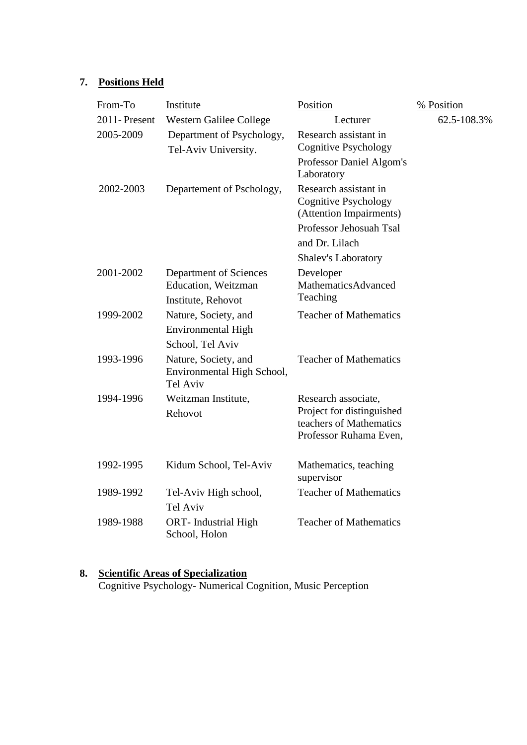# **7. Positions Held**

| From-To      | Institute                                                             | Position                                                                         | % Position  |
|--------------|-----------------------------------------------------------------------|----------------------------------------------------------------------------------|-------------|
| 2011-Present | Western Galilee College                                               | Lecturer                                                                         | 62.5-108.3% |
| 2005-2009    | Department of Psychology,<br>Tel-Aviv University.                     | Research assistant in<br><b>Cognitive Psychology</b><br>Professor Daniel Algom's |             |
|              |                                                                       | Laboratory                                                                       |             |
| 2002-2003    | Departement of Pschology,                                             | Research assistant in<br><b>Cognitive Psychology</b><br>(Attention Impairments)  |             |
|              |                                                                       | Professor Jehosuah Tsal<br>and Dr. Lilach                                        |             |
|              |                                                                       | <b>Shalev's Laboratory</b>                                                       |             |
| 2001-2002    | Department of Sciences                                                | Developer                                                                        |             |
|              | Education, Weitzman<br>Institute, Rehovot                             | MathematicsAdvanced<br>Teaching                                                  |             |
| 1999-2002    | Nature, Society, and                                                  | <b>Teacher of Mathematics</b>                                                    |             |
|              | Environmental High                                                    |                                                                                  |             |
|              | School, Tel Aviv                                                      |                                                                                  |             |
| 1993-1996    | Nature, Society, and<br>Environmental High School,<br><b>Tel Aviv</b> | <b>Teacher of Mathematics</b>                                                    |             |
| 1994-1996    | Weitzman Institute,                                                   | Research associate,                                                              |             |
|              | Rehovot                                                               | Project for distinguished                                                        |             |
|              |                                                                       | teachers of Mathematics<br>Professor Ruhama Even,                                |             |
|              |                                                                       |                                                                                  |             |
| 1992-1995    | Kidum School, Tel-Aviv                                                | Mathematics, teaching<br>supervisor                                              |             |
| 1989-1992    | Tel-Aviv High school,<br><b>Tel Aviv</b>                              | <b>Teacher of Mathematics</b>                                                    |             |
| 1989-1988    | <b>ORT-</b> Industrial High<br>School, Holon                          | <b>Teacher of Mathematics</b>                                                    |             |

#### **8. Scientific Areas of Specialization**

Cognitive Psychology- Numerical Cognition, Music Perception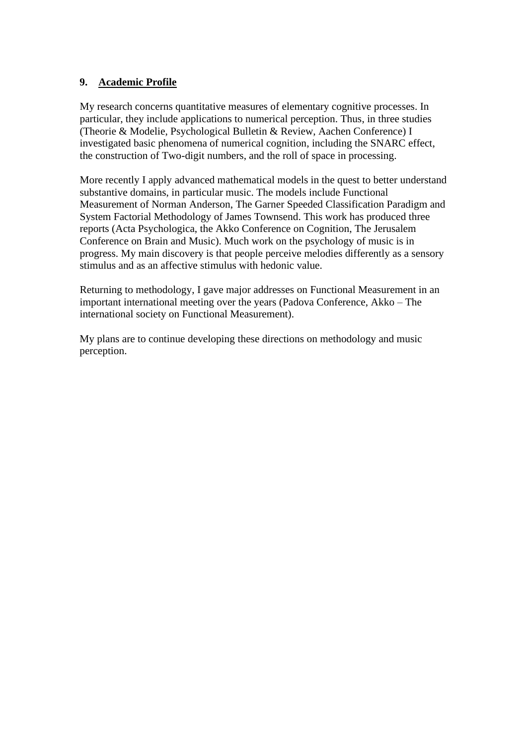# **9. Academic Profile**

My research concerns quantitative measures of elementary cognitive processes. In particular, they include applications to numerical perception. Thus, in three studies (Theorie & Modelie, Psychological Bulletin & Review, Aachen Conference) I investigated basic phenomena of numerical cognition, including the SNARC effect, the construction of Two-digit numbers, and the roll of space in processing.

More recently I apply advanced mathematical models in the quest to better understand substantive domains, in particular music. The models include Functional Measurement of Norman Anderson, The Garner Speeded Classification Paradigm and System Factorial Methodology of James Townsend. This work has produced three reports (Acta Psychologica, the Akko Conference on Cognition, The Jerusalem Conference on Brain and Music). Much work on the psychology of music is in progress. My main discovery is that people perceive melodies differently as a sensory stimulus and as an affective stimulus with hedonic value.

Returning to methodology, I gave major addresses on Functional Measurement in an important international meeting over the years (Padova Conference, Akko – The international society on Functional Measurement).

My plans are to continue developing these directions on methodology and music perception.